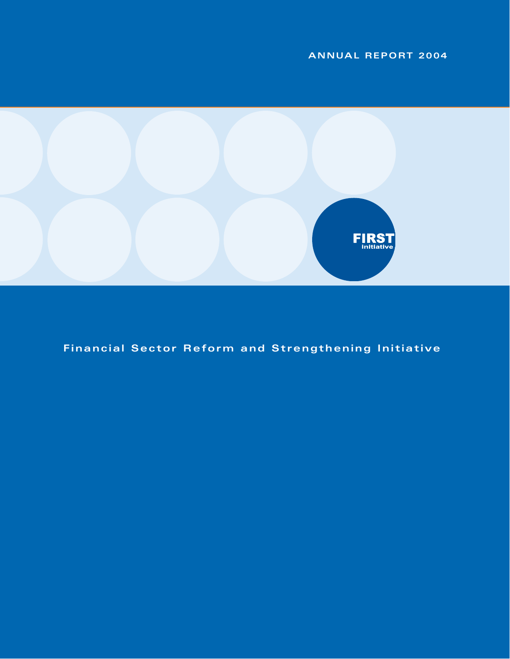# **ANNUAL REPORT 2004**



**Financial Sector Reform and Strengthening Initiative**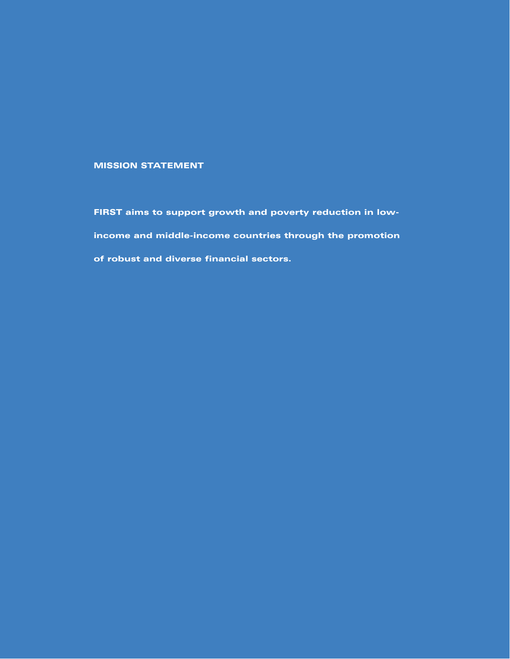# **MISSION STATEMENT**

**FIRST aims to support growth and poverty reduction in lowincome and middle-income countries through the promotion of robust and diverse financial sectors.**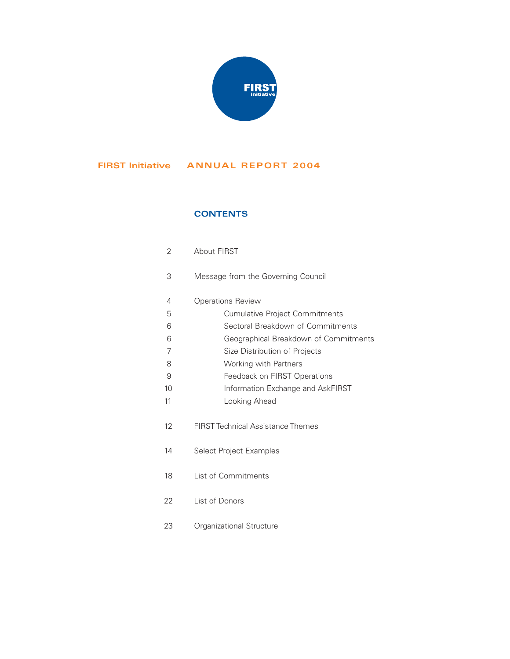

# **FIRST Initiative | ANNUAL REPORT 2004**

# **CONTENTS**

| 2              | <b>About FIRST</b>                       |
|----------------|------------------------------------------|
| 3              | Message from the Governing Council       |
| 4              | <b>Operations Review</b>                 |
| 5              | <b>Cumulative Project Commitments</b>    |
| 6              | Sectoral Breakdown of Commitments        |
| 6              | Geographical Breakdown of Commitments    |
| $\overline{7}$ | Size Distribution of Projects            |
| 8              | Working with Partners                    |
| 9              | Feedback on FIRST Operations             |
| 10             | Information Exchange and AskFIRST        |
| 11             | Looking Ahead                            |
| 12             | <b>FIRST Technical Assistance Themes</b> |
| 14             | Select Project Examples                  |
| 18             | List of Commitments                      |
| 22             | List of Donors                           |
| 23             | Organizational Structure                 |
|                |                                          |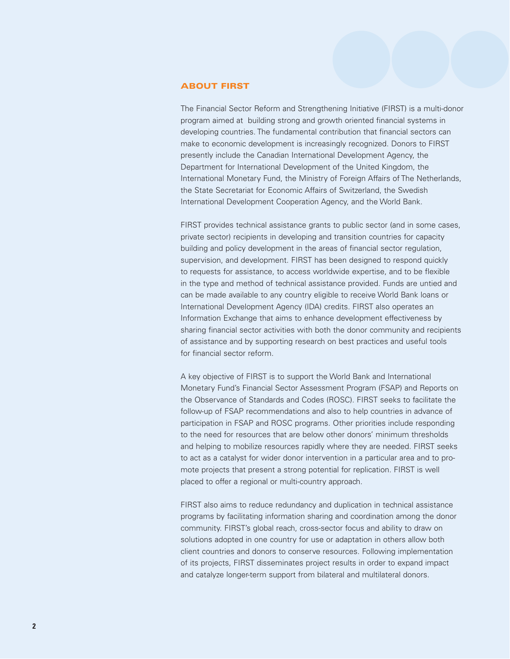#### **ABOUT FIRST**

The Financial Sector Reform and Strengthening Initiative (FIRST) is a multi-donor program aimed at building strong and growth oriented financial systems in developing countries. The fundamental contribution that financial sectors can make to economic development is increasingly recognized. Donors to FIRST presently include the Canadian International Development Agency, the Department for International Development of the United Kingdom, the International Monetary Fund, the Ministry of Foreign Affairs of The Netherlands, the State Secretariat for Economic Affairs of Switzerland, the Swedish International Development Cooperation Agency, and the World Bank.

FIRST provides technical assistance grants to public sector (and in some cases, private sector) recipients in developing and transition countries for capacity building and policy development in the areas of financial sector regulation, supervision, and development. FIRST has been designed to respond quickly to requests for assistance, to access worldwide expertise, and to be flexible in the type and method of technical assistance provided. Funds are untied and can be made available to any country eligible to receive World Bank loans or International Development Agency (IDA) credits. FIRST also operates an Information Exchange that aims to enhance development effectiveness by sharing financial sector activities with both the donor community and recipients of assistance and by supporting research on best practices and useful tools for financial sector reform.

A key objective of FIRST is to support the World Bank and International Monetary Fund's Financial Sector Assessment Program (FSAP) and Reports on the Observance of Standards and Codes (ROSC). FIRST seeks to facilitate the follow-up of FSAP recommendations and also to help countries in advance of participation in FSAP and ROSC programs. Other priorities include responding to the need for resources that are below other donors' minimum thresholds and helping to mobilize resources rapidly where they are needed. FIRST seeks to act as a catalyst for wider donor intervention in a particular area and to promote projects that present a strong potential for replication. FIRST is well placed to offer a regional or multi-country approach.

FIRST also aims to reduce redundancy and duplication in technical assistance programs by facilitating information sharing and coordination among the donor community. FIRST's global reach, cross-sector focus and ability to draw on solutions adopted in one country for use or adaptation in others allow both client countries and donors to conserve resources. Following implementation of its projects, FIRST disseminates project results in order to expand impact and catalyze longer-term support from bilateral and multilateral donors.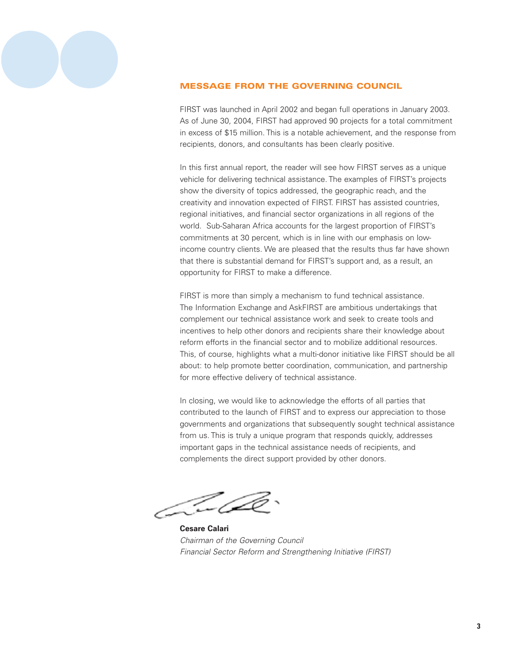

# **MESSAGE FROM THE GOVERNING COUNCIL**

FIRST was launched in April 2002 and began full operations in January 2003. As of June 30, 2004, FIRST had approved 90 projects for a total commitment in excess of \$15 million. This is a notable achievement, and the response from recipients, donors, and consultants has been clearly positive.

In this first annual report, the reader will see how FIRST serves as a unique vehicle for delivering technical assistance. The examples of FIRST's projects show the diversity of topics addressed, the geographic reach, and the creativity and innovation expected of FIRST. FIRST has assisted countries, regional initiatives, and financial sector organizations in all regions of the world. Sub-Saharan Africa accounts for the largest proportion of FIRST's commitments at 30 percent, which is in line with our emphasis on lowincome country clients. We are pleased that the results thus far have shown that there is substantial demand for FIRST's support and, as a result, an opportunity for FIRST to make a difference.

FIRST is more than simply a mechanism to fund technical assistance. The Information Exchange and AskFIRST are ambitious undertakings that complement our technical assistance work and seek to create tools and incentives to help other donors and recipients share their knowledge about reform efforts in the financial sector and to mobilize additional resources. This, of course, highlights what a multi-donor initiative like FIRST should be all about: to help promote better coordination, communication, and partnership for more effective delivery of technical assistance.

In closing, we would like to acknowledge the efforts of all parties that contributed to the launch of FIRST and to express our appreciation to those governments and organizations that subsequently sought technical assistance from us. This is truly a unique program that responds quickly, addresses important gaps in the technical assistance needs of recipients, and complements the direct support provided by other donors.

**Cesare Calari** Chairman of the Governing Council Financial Sector Reform and Strengthening Initiative (FIRST)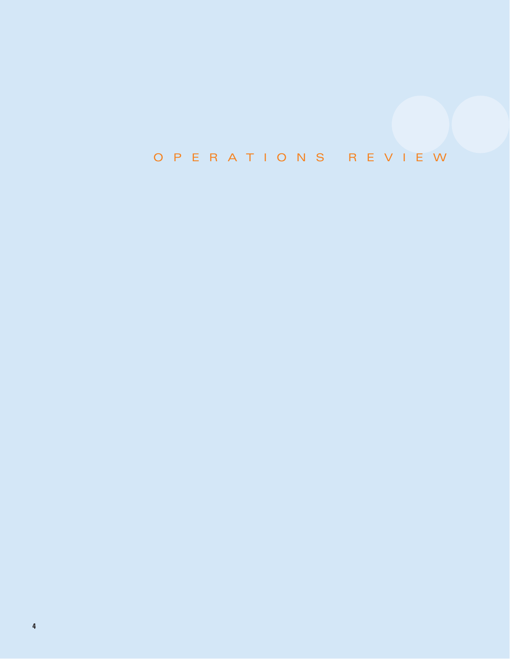# OPERATIONS REVIEW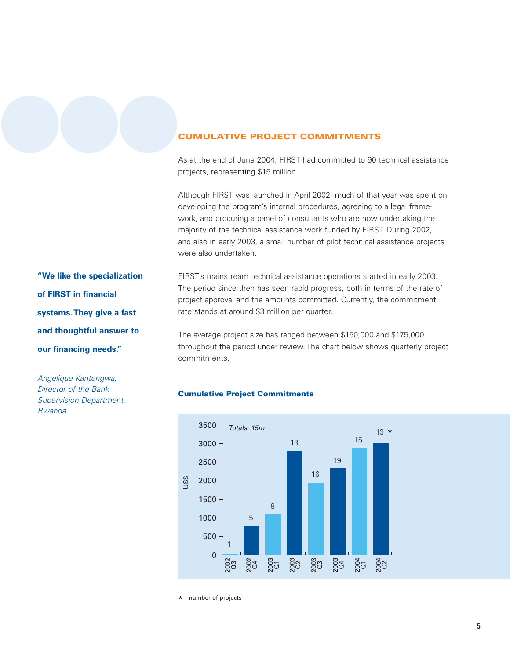# **CUMULATIVE PROJECT COMMITMENTS**

As at the end of June 2004, FIRST had committed to 90 technical assistance projects, representing \$15 million.

Although FIRST was launched in April 2002, much of that year was spent on developing the program's internal procedures, agreeing to a legal framework, and procuring a panel of consultants who are now undertaking the majority of the technical assistance work funded by FIRST. During 2002, and also in early 2003, a small number of pilot technical assistance projects were also undertaken.

FIRST's mainstream technical assistance operations started in early 2003. The period since then has seen rapid progress, both in terms of the rate of project approval and the amounts committed. Currently, the commitment rate stands at around \$3 million per quarter.

The average project size has ranged between \$150,000 and \$175,000 throughout the period under review. The chart below shows quarterly project commitments.

# **Cumulative Project Commitments**



number of projects \*

**"We like the specialization of FIRST in financial systems.They give a fast and thoughtful answer to our financing needs."**

Angelique Kantengwa, Director of the Bank Supervision Department, Rwanda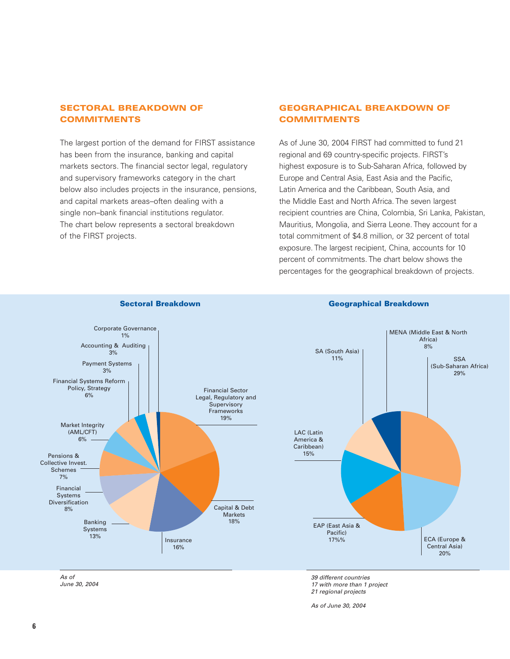# **SECTORAL BREAKDOWN OF COMMITMENTS**

The largest portion of the demand for FIRST assistance has been from the insurance, banking and capital markets sectors. The financial sector legal, regulatory and supervisory frameworks category in the chart below also includes projects in the insurance, pensions, and capital markets areas–often dealing with a single non–bank financial institutions regulator. The chart below represents a sectoral breakdown of the FIRST projects.

# **GEOGRAPHICAL BREAKDOWN OF COMMITMENTS**

As of June 30, 2004 FIRST had committed to fund 21 regional and 69 country-specific projects. FIRST's highest exposure is to Sub-Saharan Africa, followed by Europe and Central Asia, East Asia and the Pacific, Latin America and the Caribbean, South Asia, and the Middle East and North Africa. The seven largest recipient countries are China, Colombia, Sri Lanka, Pakistan, Mauritius, Mongolia, and Sierra Leone. They account for a total commitment of \$4.8 million, or 32 percent of total exposure. The largest recipient, China, accounts for 10 percent of commitments. The chart below shows the percentages for the geographical breakdown of projects.



**Sectoral Breakdown Geographical Breakdown**

June 30, 2004

21 regional projects

As of June 30, 2004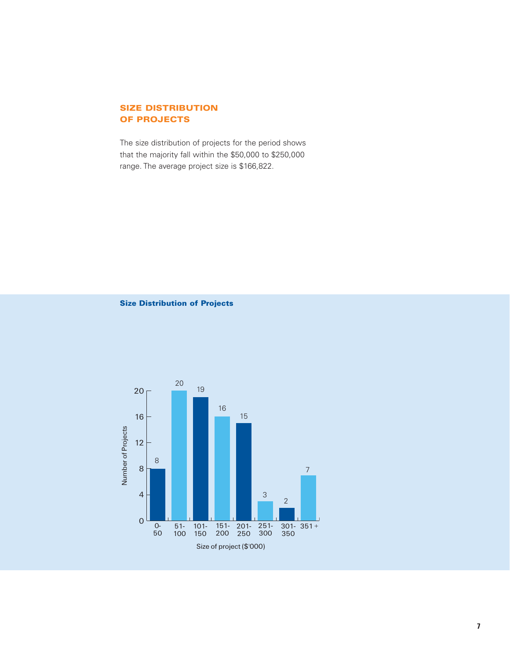# **SIZE DISTRIBUTION OF PROJECTS**

The size distribution of projects for the period shows that the majority fall within the \$50,000 to \$250,000 range. The average project size is \$166,822.

**Size Distribution of Projects**

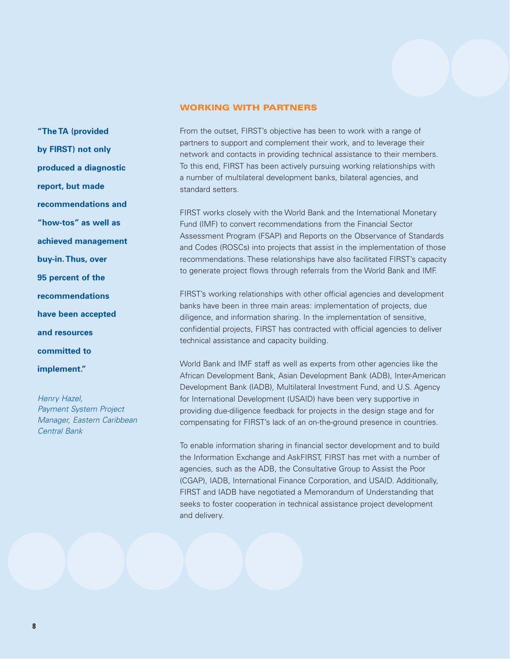#### **WORKING WITH PARTNERS**

**"The TA (provided by FIRST) not only produced a diagnostic report, but made recommendations and "how-tos" as well as achieved management buy-in.Thus, over 95 percent of the recommendations have been accepted and resources committed to implement."**

Henry Hazel, Payment System Project Manager, Eastern Caribbean Central Bank

From the outset, FIRST's objective has been to work with a range of partners to support and complement their work, and to leverage their network and contacts in providing technical assistance to their members. To this end, FIRST has been actively pursuing working relationships with a number of multilateral development banks, bilateral agencies, and standard setters.

FIRST works closely with the World Bank and the International Monetary Fund (IMF) to convert recommendations from the Financial Sector Assessment Program (FSAP) and Reports on the Observance of Standards and Codes (ROSCs) into projects that assist in the implementation of those recommendations. These relationships have also facilitated FIRST's capacity to generate project flows through referrals from the World Bank and IMF.

FIRST's working relationships with other official agencies and development banks have been in three main areas: implementation of projects, due diligence, and information sharing. In the implementation of sensitive, confidential projects, FIRST has contracted with official agencies to deliver technical assistance and capacity building.

World Bank and IMF staff as well as experts from other agencies like the African Development Bank, Asian Development Bank (ADB), Inter-American Development Bank (IADB), Multilateral Investment Fund, and U.S. Agency for International Development (USAID) have been very supportive in providing due-diligence feedback for projects in the design stage and for compensating for FIRST's lack of an on-the-ground presence in countries.

To enable information sharing in financial sector development and to build the Information Exchange and AskFIRST, FIRST has met with a number of agencies, such as the ADB, the Consultative Group to Assist the Poor (CGAP), IADB, International Finance Corporation, and USAID. Additionally, FIRST and IADB have negotiated a Memorandum of Understanding that seeks to foster cooperation in technical assistance project development and delivery.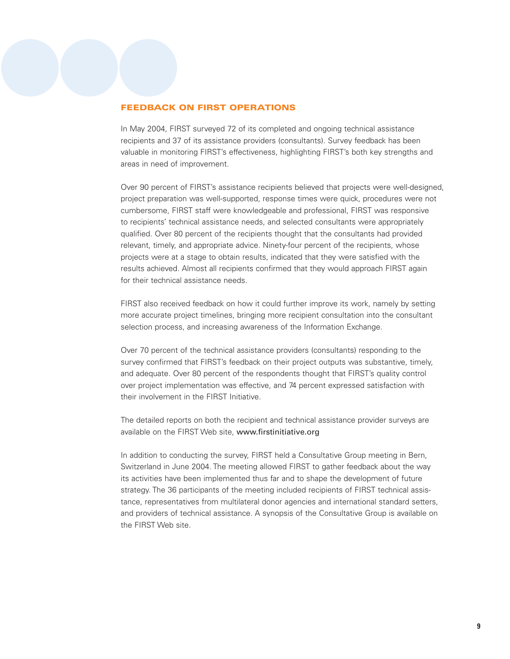#### **FEEDBACK ON FIRST OPERATIONS**

In May 2004, FIRST surveyed 72 of its completed and ongoing technical assistance recipients and 37 of its assistance providers (consultants). Survey feedback has been valuable in monitoring FIRST's effectiveness, highlighting FIRST's both key strengths and areas in need of improvement.

Over 90 percent of FIRST's assistance recipients believed that projects were well-designed, project preparation was well-supported, response times were quick, procedures were not cumbersome, FIRST staff were knowledgeable and professional, FIRST was responsive to recipients' technical assistance needs, and selected consultants were appropriately qualified. Over 80 percent of the recipients thought that the consultants had provided relevant, timely, and appropriate advice. Ninety-four percent of the recipients, whose projects were at a stage to obtain results, indicated that they were satisfied with the results achieved. Almost all recipients confirmed that they would approach FIRST again for their technical assistance needs.

FIRST also received feedback on how it could further improve its work, namely by setting more accurate project timelines, bringing more recipient consultation into the consultant selection process, and increasing awareness of the Information Exchange.

Over 70 percent of the technical assistance providers (consultants) responding to the survey confirmed that FIRST's feedback on their project outputs was substantive, timely, and adequate. Over 80 percent of the respondents thought that FIRST's quality control over project implementation was effective, and 74 percent expressed satisfaction with their involvement in the FIRST Initiative.

The detailed reports on both the recipient and technical assistance provider surveys are available on the FIRST Web site, www.firstinitiative.org

In addition to conducting the survey, FIRST held a Consultative Group meeting in Bern, Switzerland in June 2004. The meeting allowed FIRST to gather feedback about the way its activities have been implemented thus far and to shape the development of future strategy. The 36 participants of the meeting included recipients of FIRST technical assistance, representatives from multilateral donor agencies and international standard setters, and providers of technical assistance. A synopsis of the Consultative Group is available on the FIRST Web site.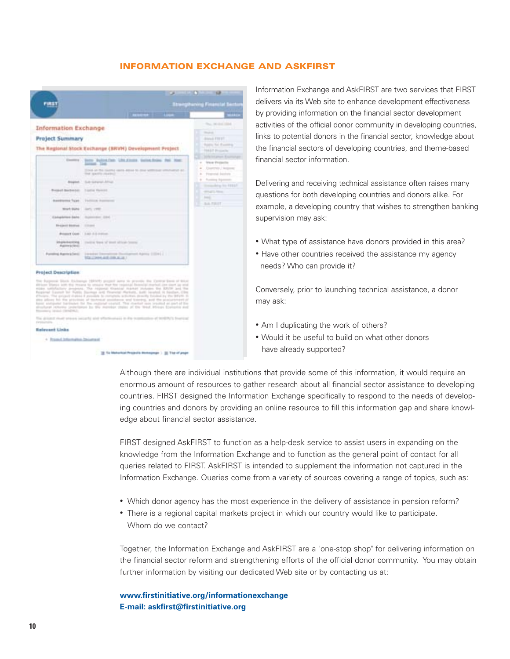#### **INFORMATION EXCHANGE AND ASKFIRST**



Information Exchange and AskFIRST are two services that FIRST delivers via its Web site to enhance development effectiveness by providing information on the financial sector development activities of the official donor community in developing countries, links to potential donors in the financial sector, knowledge about the financial sectors of developing countries, and theme-based financial sector information.

Delivering and receiving technical assistance often raises many questions for both developing countries and donors alike. For example, a developing country that wishes to strengthen banking supervision may ask:

- What type of assistance have donors provided in this area?
- Have other countries received the assistance my agency needs? Who can provide it?

Conversely, prior to launching technical assistance, a donor may ask:

- Am I duplicating the work of others?
- Would it be useful to build on what other donors have already supported?

Although there are individual institutions that provide some of this information, it would require an enormous amount of resources to gather research about all financial sector assistance to developing countries. FIRST designed the Information Exchange specifically to respond to the needs of developing countries and donors by providing an online resource to fill this information gap and share knowledge about financial sector assistance.

FIRST designed AskFIRST to function as a help-desk service to assist users in expanding on the knowledge from the Information Exchange and to function as the general point of contact for all queries related to FIRST. AskFIRST is intended to supplement the information not captured in the Information Exchange. Queries come from a variety of sources covering a range of topics, such as:

- Which donor agency has the most experience in the delivery of assistance in pension reform?
- There is a regional capital markets project in which our country would like to participate. Whom do we contact?

Together, the Information Exchange and AskFIRST are a "one-stop shop" for delivering information on the financial sector reform and strengthening efforts of the official donor community. You may obtain further information by visiting our dedicated Web site or by contacting us at:

# **www.firstinitiative.org/informationexchange E-mail: askfirst@firstinitiative.org**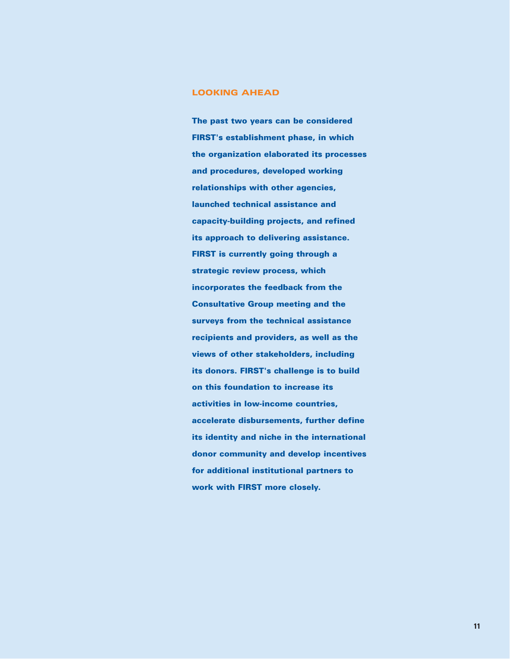# **LOOKING AHEAD**

**The past two years can be considered FIRST's establishment phase, in which the organization elaborated its processes and procedures, developed working relationships with other agencies, launched technical assistance and capacity-building projects, and refined its approach to delivering assistance. FIRST is currently going through a strategic review process, which incorporates the feedback from the Consultative Group meeting and the surveys from the technical assistance recipients and providers, as well as the views of other stakeholders, including its donors. FIRST's challenge is to build on this foundation to increase its activities in low-income countries, accelerate disbursements, further define its identity and niche in the international donor community and develop incentives for additional institutional partners to work with FIRST more closely.**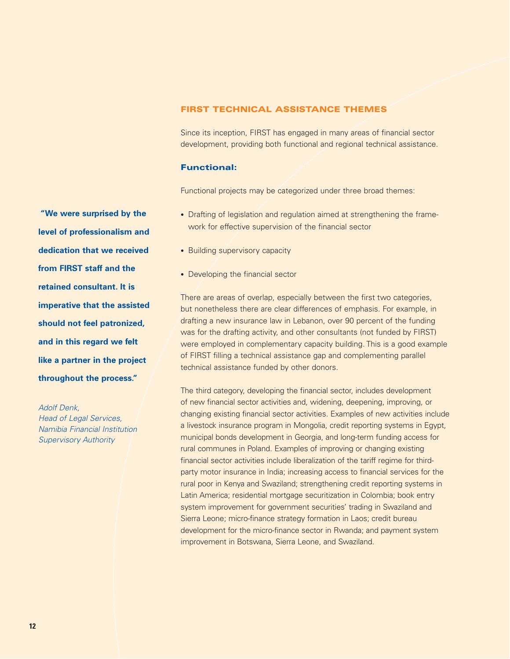# **FIRST TECHNICAL ASSISTANCE THEMES**

Since its inception, FIRST has engaged in many areas of financial sector development, providing both functional and regional technical assistance.

#### **Functional:**

Functional projects may be categorized under three broad themes:

- Drafting of legislation and regulation aimed at strengthening the framework for effective supervision of the financial sector
- Building supervisory capacity
- Developing the financial sector

There are areas of overlap, especially between the first two categories, but nonetheless there are clear differences of emphasis. For example, in drafting a new insurance law in Lebanon, over 90 percent of the funding was for the drafting activity, and other consultants (not funded by FIRST) were employed in complementary capacity building. This is a good example of FIRST filling a technical assistance gap and complementing parallel technical assistance funded by other donors.

The third category, developing the financial sector, includes development of new financial sector activities and, widening, deepening, improving, or changing existing financial sector activities. Examples of new activities include a livestock insurance program in Mongolia, credit reporting systems in Egypt, municipal bonds development in Georgia, and long-term funding access for rural communes in Poland. Examples of improving or changing existing financial sector activities include liberalization of the tariff regime for thirdparty motor insurance in India; increasing access to financial services for the rural poor in Kenya and Swaziland; strengthening credit reporting systems in Latin America; residential mortgage securitization in Colombia; book entry system improvement for government securities' trading in Swaziland and Sierra Leone; micro-finance strategy formation in Laos; credit bureau development for the micro-finance sector in Rwanda; and payment system improvement in Botswana, Sierra Leone, and Swaziland.

**"We were surprised by the level of professionalism and dedication that we received from FIRST staff and the retained consultant. It is imperative that the assisted should not feel patronized, and in this regard we felt like a partner in the project throughout the process."**

Adolf Denk, Head of Legal Services, Namibia Financial Institution Supervisory Authority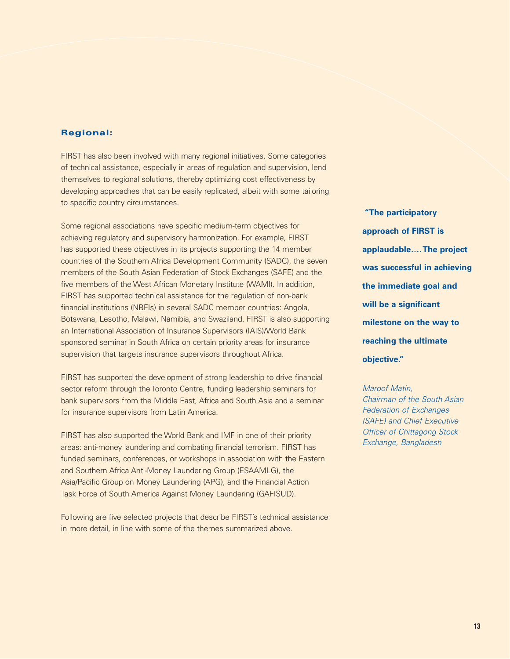# **Regional:**

FIRST has also been involved with many regional initiatives. Some categories of technical assistance, especially in areas of regulation and supervision, lend themselves to regional solutions, thereby optimizing cost effectiveness by developing approaches that can be easily replicated, albeit with some tailoring to specific country circumstances.

Some regional associations have specific medium-term objectives for achieving regulatory and supervisory harmonization. For example, FIRST has supported these objectives in its projects supporting the 14 member countries of the Southern Africa Development Community (SADC), the seven members of the South Asian Federation of Stock Exchanges (SAFE) and the five members of the West African Monetary Institute (WAMI). In addition, FIRST has supported technical assistance for the regulation of non-bank financial institutions (NBFIs) in several SADC member countries: Angola, Botswana, Lesotho, Malawi, Namibia, and Swaziland. FIRST is also supporting an International Association of Insurance Supervisors (IAIS)/World Bank sponsored seminar in South Africa on certain priority areas for insurance supervision that targets insurance supervisors throughout Africa.

FIRST has supported the development of strong leadership to drive financial sector reform through the Toronto Centre, funding leadership seminars for bank supervisors from the Middle East, Africa and South Asia and a seminar for insurance supervisors from Latin America.

FIRST has also supported the World Bank and IMF in one of their priority areas: anti-money laundering and combating financial terrorism. FIRST has funded seminars, conferences, or workshops in association with the Eastern and Southern Africa Anti-Money Laundering Group (ESAAMLG), the Asia/Pacific Group on Money Laundering (APG), and the Financial Action Task Force of South America Against Money Laundering (GAFISUD).

Following are five selected projects that describe FIRST's technical assistance in more detail, in line with some of the themes summarized above.

**"The participatory approach of FIRST is applaudable….The project was successful in achieving the immediate goal and will be a significant milestone on the way to reaching the ultimate objective."**

Maroof Matin, Chairman of the South Asian Federation of Exchanges (SAFE) and Chief Executive Officer of Chittagong Stock Exchange, Bangladesh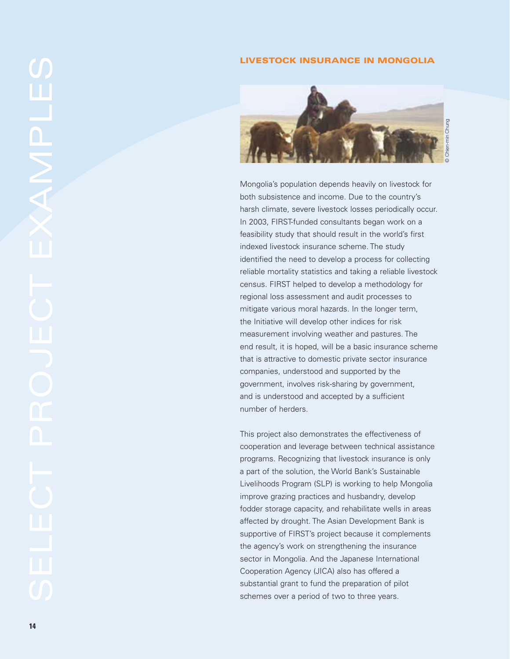# **LIVESTOCK INSURANCE IN MONGOLIA**



Mongolia's population depends heavily on livestock for both subsistence and income. Due to the country's harsh climate, severe livestock losses periodically occur. In 2003, FIRST-funded consultants began work on a feasibility study that should result in the world's first indexed livestock insurance scheme. The study identified the need to develop a process for collecting reliable mortality statistics and taking a reliable livestock census. FIRST helped to develop a methodology for regional loss assessment and audit processes to mitigate various moral hazards. In the longer term, the Initiative will develop other indices for risk measurement involving weather and pastures. The end result, it is hoped, will be a basic insurance scheme that is attractive to domestic private sector insurance companies, understood and supported by the government, involves risk-sharing by government, and is understood and accepted by a sufficient number of herders.

This project also demonstrates the effectiveness of cooperation and leverage between technical assistance programs. Recognizing that livestock insurance is only a part of the solution, the World Bank's Sustainable Livelihoods Program (SLP) is working to help Mongolia improve grazing practices and husbandry, develop fodder storage capacity, and rehabilitate wells in areas affected by drought. The Asian Development Bank is supportive of FIRST's project because it complements the agency's work on strengthening the insurance sector in Mongolia. And the Japanese International Cooperation Agency (JICA) also has offered a substantial grant to fund the preparation of pilot schemes over a period of two to three years.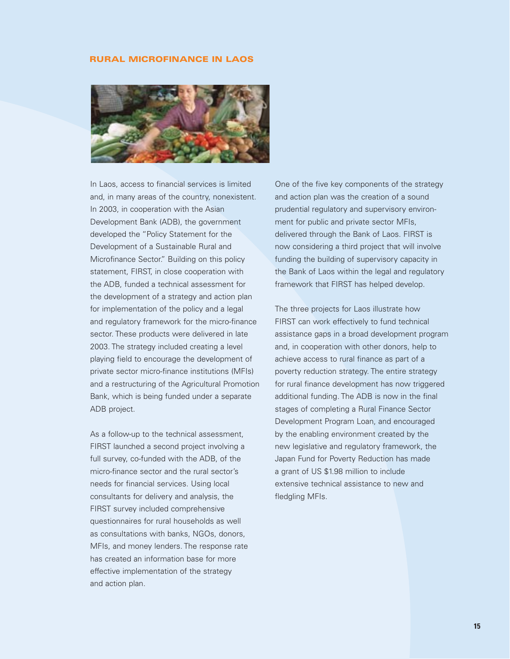#### **RURAL MICROFINANCE IN LAOS**



In Laos, access to financial services is limited and, in many areas of the country, nonexistent. In 2003, in cooperation with the Asian Development Bank (ADB), the government developed the "Policy Statement for the Development of a Sustainable Rural and Microfinance Sector." Building on this policy statement, FIRST, in close cooperation with the ADB, funded a technical assessment for the development of a strategy and action plan for implementation of the policy and a legal and regulatory framework for the micro-finance sector. These products were delivered in late 2003. The strategy included creating a level playing field to encourage the development of private sector micro-finance institutions (MFIs) and a restructuring of the Agricultural Promotion Bank, which is being funded under a separate ADB project.

As a follow-up to the technical assessment, FIRST launched a second project involving a full survey, co-funded with the ADB, of the micro-finance sector and the rural sector's needs for financial services. Using local consultants for delivery and analysis, the FIRST survey included comprehensive questionnaires for rural households as well as consultations with banks, NGOs, donors, MFIs, and money lenders. The response rate has created an information base for more effective implementation of the strategy and action plan.

One of the five key components of the strategy and action plan was the creation of a sound prudential regulatory and supervisory environment for public and private sector MFIs. delivered through the Bank of Laos. FIRST is now considering a third project that will involve funding the building of supervisory capacity in the Bank of Laos within the legal and regulatory framework that FIRST has helped develop.

The three projects for Laos illustrate how FIRST can work effectively to fund technical assistance gaps in a broad development program and, in cooperation with other donors, help to achieve access to rural finance as part of a poverty reduction strategy. The entire strategy for rural finance development has now triggered additional funding. The ADB is now in the final stages of completing a Rural Finance Sector Development Program Loan, and encouraged by the enabling environment created by the new legislative and regulatory framework, the Japan Fund for Poverty Reduction has made a grant of US \$1.98 million to include extensive technical assistance to new and fledgling MFIs.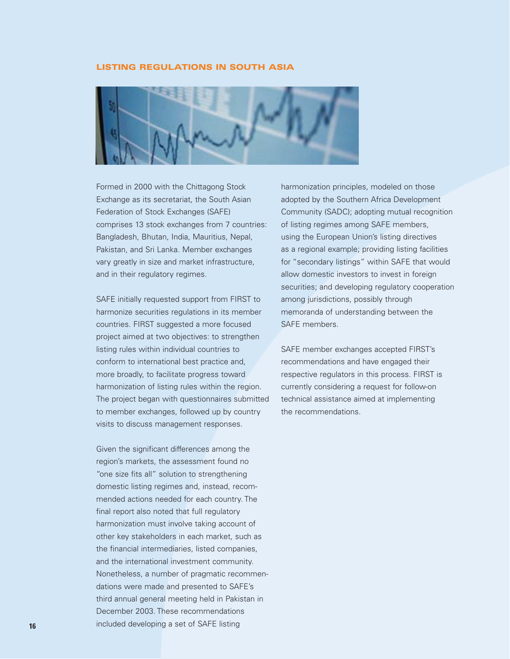# **LISTING REGULATIONS IN SOUTH ASIA**



Formed in 2000 with the Chittagong Stock Exchange as its secretariat, the South Asian Federation of Stock Exchanges (SAFE) comprises 13 stock exchanges from 7 countries: Bangladesh, Bhutan, India, Mauritius, Nepal, Pakistan, and Sri Lanka. Member exchanges vary greatly in size and market infrastructure, and in their regulatory regimes.

SAFE initially requested support from FIRST to harmonize securities regulations in its member countries. FIRST suggested a more focused project aimed at two objectives: to strengthen listing rules within individual countries to conform to international best practice and, more broadly, to facilitate progress toward harmonization of listing rules within the region. The project began with questionnaires submitted to member exchanges, followed up by country visits to discuss management responses.

Given the significant differences among the region's markets, the assessment found no "one size fits all" solution to strengthening domestic listing regimes and, instead, recommended actions needed for each country. The final report also noted that full regulatory harmonization must involve taking account of other key stakeholders in each market, such as the financial intermediaries, listed companies, and the international investment community. Nonetheless, a number of pragmatic recommendations were made and presented to SAFE's third annual general meeting held in Pakistan in December 2003. These recommendations included developing a set of SAFE listing

harmonization principles, modeled on those adopted by the Southern Africa Development Community (SADC); adopting mutual recognition of listing regimes among SAFE members, using the European Union's listing directives as a regional example; providing listing facilities for "secondary listings" within SAFE that would allow domestic investors to invest in foreign securities; and developing regulatory cooperation among jurisdictions, possibly through memoranda of understanding between the SAFE members.

SAFE member exchanges accepted FIRST's recommendations and have engaged their respective regulators in this process. FIRST is currently considering a request for follow-on technical assistance aimed at implementing the recommendations.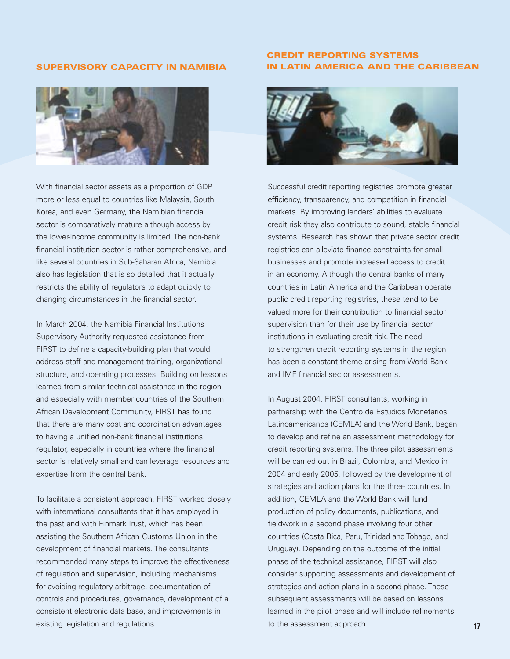#### **SUPERVISORY CAPACITY IN NAMIBIA**



With financial sector assets as a proportion of GDP more or less equal to countries like Malaysia, South Korea, and even Germany, the Namibian financial sector is comparatively mature although access by the lower-income community is limited. The non-bank financial institution sector is rather comprehensive, and like several countries in Sub-Saharan Africa, Namibia also has legislation that is so detailed that it actually restricts the ability of regulators to adapt quickly to changing circumstances in the financial sector.

In March 2004, the Namibia Financial Institutions Supervisory Authority requested assistance from FIRST to define a capacity-building plan that would address staff and management training, organizational structure, and operating processes. Building on lessons learned from similar technical assistance in the region and especially with member countries of the Southern African Development Community, FIRST has found that there are many cost and coordination advantages to having a unified non-bank financial institutions regulator, especially in countries where the financial sector is relatively small and can leverage resources and expertise from the central bank.

To facilitate a consistent approach, FIRST worked closely with international consultants that it has employed in the past and with Finmark Trust, which has been assisting the Southern African Customs Union in the development of financial markets. The consultants recommended many steps to improve the effectiveness of regulation and supervision, including mechanisms for avoiding regulatory arbitrage, documentation of controls and procedures, governance, development of a consistent electronic data base, and improvements in existing legislation and regulations.

# **CREDIT REPORTING SYSTEMS IN LATIN AMERICA AND THE CARIBBEAN**



Successful credit reporting registries promote greater efficiency, transparency, and competition in financial markets. By improving lenders' abilities to evaluate credit risk they also contribute to sound, stable financial systems. Research has shown that private sector credit registries can alleviate finance constraints for small businesses and promote increased access to credit in an economy. Although the central banks of many countries in Latin America and the Caribbean operate public credit reporting registries, these tend to be valued more for their contribution to financial sector supervision than for their use by financial sector institutions in evaluating credit risk. The need to strengthen credit reporting systems in the region has been a constant theme arising from World Bank and IMF financial sector assessments.

In August 2004, FIRST consultants, working in partnership with the Centro de Estudios Monetarios Latinoamericanos (CEMLA) and the World Bank, began to develop and refine an assessment methodology for credit reporting systems. The three pilot assessments will be carried out in Brazil, Colombia, and Mexico in 2004 and early 2005, followed by the development of strategies and action plans for the three countries. In addition, CEMLA and the World Bank will fund production of policy documents, publications, and fieldwork in a second phase involving four other countries (Costa Rica, Peru, Trinidad and Tobago, and Uruguay). Depending on the outcome of the initial phase of the technical assistance, FIRST will also consider supporting assessments and development of strategies and action plans in a second phase. These subsequent assessments will be based on lessons learned in the pilot phase and will include refinements to the assessment approach.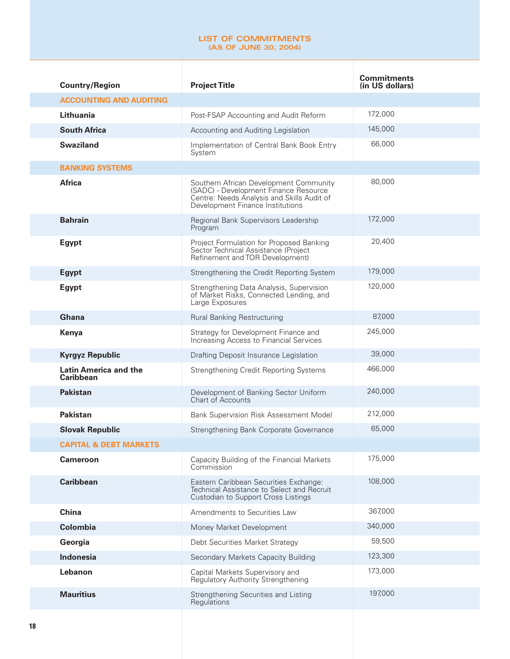#### **LIST OF COMMITMENTS (AS OF JUNE 30, 2004)**

| <b>Country/Region</b>                            | <b>Project Title</b>                                                                                                                                              | <b>Commitments</b><br>(in US dollars) |
|--------------------------------------------------|-------------------------------------------------------------------------------------------------------------------------------------------------------------------|---------------------------------------|
| <b>ACCOUNTING AND AUDITING</b>                   |                                                                                                                                                                   |                                       |
| Lithuania                                        | Post-FSAP Accounting and Audit Reform                                                                                                                             | 172,000                               |
| <b>South Africa</b>                              | Accounting and Auditing Legislation                                                                                                                               | 145,000                               |
| <b>Swaziland</b>                                 | Implementation of Central Bank Book Entry<br>System                                                                                                               | 66,000                                |
| <b>BANKING SYSTEMS</b>                           |                                                                                                                                                                   |                                       |
| <b>Africa</b>                                    | Southern African Development Community<br>(SADC) - Development Finance Resource<br>Centre: Needs Analysis and Skills Audit of<br>Development Finance Institutions | 80,000                                |
| <b>Bahrain</b>                                   | Regional Bank Supervisors Leadership<br>Program                                                                                                                   | 172,000                               |
| <b>Egypt</b>                                     | Project Formulation for Proposed Banking<br>Sector Technical Assistance (Project<br>Refinement and TOR Development)                                               | 20,400                                |
| <b>Egypt</b>                                     | Strengthening the Credit Reporting System                                                                                                                         | 179,000                               |
| <b>Egypt</b>                                     | Strengthening Data Analysis, Supervision<br>of Market Risks, Connected Lending, and<br>Large Exposures                                                            | 120,000                               |
| Ghana                                            | <b>Rural Banking Restructuring</b>                                                                                                                                | 87,000                                |
| Kenya                                            | Strategy for Development Finance and<br>Increasing Access to Financial Services                                                                                   | 245,000                               |
| <b>Kyrgyz Republic</b>                           | Drafting Deposit Insurance Legislation                                                                                                                            | 39,000                                |
| <b>Latin America and the</b><br><b>Caribbean</b> | Strengthening Credit Reporting Systems                                                                                                                            | 466,000                               |
| <b>Pakistan</b>                                  | Development of Banking Sector Uniform<br><b>Chart of Accounts</b>                                                                                                 | 240,000                               |
| <b>Pakistan</b>                                  | Bank Supervision Risk Assessment Model                                                                                                                            | 212,000                               |
| <b>Slovak Republic</b>                           | Strengthening Bank Corporate Governance                                                                                                                           | 65,000                                |
| <b>CAPITAL &amp; DEBT MARKETS</b>                |                                                                                                                                                                   |                                       |
| <b>Cameroon</b>                                  | Capacity Building of the Financial Markets<br>Commission                                                                                                          | 175,000                               |
| <b>Caribbean</b>                                 | Eastern Caribbean Securities Exchange:<br>Technical Assistance to Select and Recruit<br>Custodian to Support Cross Listings                                       | 108,000                               |
| <b>China</b>                                     | Amendments to Securities Law                                                                                                                                      | 367,000                               |
| <b>Colombia</b>                                  | Money Market Development                                                                                                                                          | 340.000                               |
| Georgia                                          | Debt Securities Market Strategy                                                                                                                                   | 59,500                                |
| <b>Indonesia</b>                                 | Secondary Markets Capacity Building                                                                                                                               | 123,300                               |
| Lebanon                                          | Capital Markets Supervisory and<br>Regulatory Authority Strengthening                                                                                             | 173,000                               |
| <b>Mauritius</b>                                 | Strengthening Securities and Listing<br>Regulations                                                                                                               | 197,000                               |
|                                                  |                                                                                                                                                                   |                                       |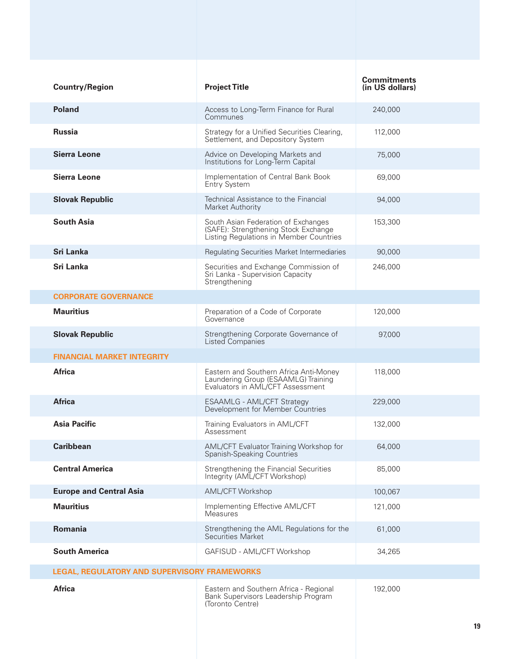| <b>Country/Region</b>                               | <b>Project Title</b>                                                                                                   | <b>Commitments</b><br>(in US dollars) |
|-----------------------------------------------------|------------------------------------------------------------------------------------------------------------------------|---------------------------------------|
| <b>Poland</b>                                       | Access to Long-Term Finance for Rural<br>Communes                                                                      | 240,000                               |
| <b>Russia</b>                                       | Strategy for a Unified Securities Clearing,<br>Settlement, and Depository System                                       | 112,000                               |
| <b>Sierra Leone</b>                                 | Advice on Developing Markets and<br>Institutions for Long-Term Capital                                                 | 75,000                                |
| <b>Sierra Leone</b>                                 | Implementation of Central Bank Book<br><b>Entry System</b>                                                             | 69,000                                |
| <b>Slovak Republic</b>                              | Technical Assistance to the Financial<br>Market Authority                                                              | 94,000                                |
| <b>South Asia</b>                                   | South Asian Federation of Exchanges<br>(SAFE): Strengthening Stock Exchange<br>Listing Regulations in Member Countries | 153,300                               |
| Sri Lanka                                           | Regulating Securities Market Intermediaries                                                                            | 90,000                                |
| <b>Sri Lanka</b>                                    | Securities and Exchange Commission of<br>Sri Lanka - Supervision Capacity<br>Strengthening                             | 246,000                               |
| <b>CORPORATE GOVERNANCE</b>                         |                                                                                                                        |                                       |
| <b>Mauritius</b>                                    | Preparation of a Code of Corporate<br>Governance                                                                       | 120,000                               |
| <b>Slovak Republic</b>                              | Strengthening Corporate Governance of<br>Listed Companies                                                              | 97,000                                |
| <b>FINANCIAL MARKET INTEGRITY</b>                   |                                                                                                                        |                                       |
| <b>Africa</b>                                       | Eastern and Southern Africa Anti-Money<br>Laundering Group (ESAAMLG) Training<br>Evaluators in AML/CFT Assessment      | 118,000                               |
| <b>Africa</b>                                       | <b>ESAAMLG - AML/CFT Strategy</b><br>Development for Member Countries                                                  | 229,000                               |
| <b>Asia Pacific</b>                                 | Training Evaluators in AML/CFT<br>Assessment                                                                           | 132,000                               |
| <b>Caribbean</b>                                    | AML/CFT Evaluator Training Workshop for<br>Spanish-Speaking Countries                                                  | 64,000                                |
| <b>Central America</b>                              | Strengthening the Financial Securities<br>Integrity (AML/CFT Workshop)                                                 | 85,000                                |
| <b>Europe and Central Asia</b>                      | AML/CFT Workshop                                                                                                       | 100,067                               |
| <b>Mauritius</b>                                    | Implementing Effective AML/CFT<br>Measures                                                                             | 121,000                               |
| Romania                                             | Strengthening the AML Regulations for the<br>Securities Market                                                         | 61,000                                |
| <b>South America</b>                                | GAFISUD - AML/CFT Workshop                                                                                             | 34,265                                |
| <b>LEGAL, REGULATORY AND SUPERVISORY FRAMEWORKS</b> |                                                                                                                        |                                       |
| <b>Africa</b>                                       | Eastern and Southern Africa - Regional<br>Bank Supervisors Leadership Program<br>(Toronto Centre)                      | 192,000                               |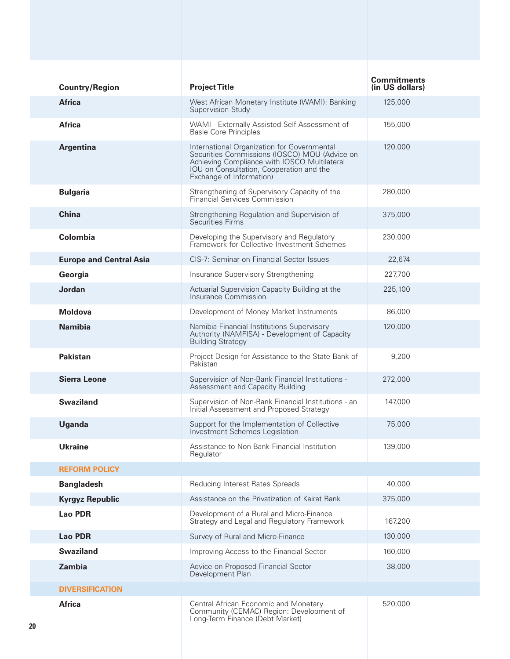| <b>Country/Region</b>          | <b>Project Title</b>                                                                                                                                                                                                        | <b>Commitments</b><br>(in US dollars) |
|--------------------------------|-----------------------------------------------------------------------------------------------------------------------------------------------------------------------------------------------------------------------------|---------------------------------------|
| <b>Africa</b>                  | West African Monetary Institute (WAMI): Banking<br>Supervision Study                                                                                                                                                        | 125.000                               |
| <b>Africa</b>                  | WAMI - Externally Assisted Self-Assessment of<br><b>Basle Core Principles</b>                                                                                                                                               | 155,000                               |
| <b>Argentina</b>               | International Organization for Governmental<br>Securities Commissions (IOSCO) MOU (Advice on<br>Achieving Compliance with IOSCO Multilateral<br><b>IOU</b> on Consultation, Cooperation and the<br>Exchange of Information) | 120,000                               |
| <b>Bulgaria</b>                | Strengthening of Supervisory Capacity of the<br>Financial Services Commission                                                                                                                                               | 280,000                               |
| <b>China</b>                   | Strengthening Regulation and Supervision of<br><b>Securities Firms</b>                                                                                                                                                      | 375,000                               |
| Colombia                       | Developing the Supervisory and Regulatory<br>Framework for Collective Investment Schemes                                                                                                                                    | 230,000                               |
| <b>Europe and Central Asia</b> | CIS-7: Seminar on Financial Sector Issues                                                                                                                                                                                   | 22,674                                |
| Georgia                        | Insurance Supervisory Strengthening                                                                                                                                                                                         | 227,700                               |
| Jordan                         | Actuarial Supervision Capacity Building at the<br>Insurance Commission                                                                                                                                                      | 225,100                               |
| <b>Moldova</b>                 | Development of Money Market Instruments                                                                                                                                                                                     | 86,000                                |
| <b>Namibia</b>                 | Namibia Financial Institutions Supervisory<br>Authority (NAMFISA) - Development of Capacity<br><b>Building Strategy</b>                                                                                                     | 120,000                               |
| <b>Pakistan</b>                | Project Design for Assistance to the State Bank of<br>Pakistan                                                                                                                                                              | 9,200                                 |
| <b>Sierra Leone</b>            | Supervision of Non-Bank Financial Institutions -<br>Assessment and Capacity Building                                                                                                                                        | 272,000                               |
| <b>Swaziland</b>               | Supervision of Non-Bank Financial Institutions - an<br>Initial Assessment and Proposed Strategy                                                                                                                             | 147,000                               |
| Uganda                         | Support for the Implementation of Collective<br>Investment Schemes Legislation                                                                                                                                              | 75,000                                |
| <b>Ukraine</b>                 | Assistance to Non-Bank Financial Institution<br>Regulator                                                                                                                                                                   | 139,000                               |
| <b>REFORM POLICY</b>           |                                                                                                                                                                                                                             |                                       |
| <b>Bangladesh</b>              | Reducing Interest Rates Spreads                                                                                                                                                                                             | 40.000                                |
| <b>Kyrgyz Republic</b>         | Assistance on the Privatization of Kairat Bank                                                                                                                                                                              | 375,000                               |
| <b>Lao PDR</b>                 | Development of a Rural and Micro-Finance<br>Strategy and Legal and Regulatory Framework                                                                                                                                     | 167,200                               |
| <b>Lao PDR</b>                 | Survey of Rural and Micro-Finance                                                                                                                                                                                           | 130,000                               |
| <b>Swaziland</b>               | Improving Access to the Financial Sector                                                                                                                                                                                    | 160,000                               |
| Zambia                         | Advice on Proposed Financial Sector<br>Development Plan                                                                                                                                                                     | 38,000                                |
| <b>DIVERSIFICATION</b>         |                                                                                                                                                                                                                             |                                       |
| <b>Africa</b>                  | Central African Economic and Monetary<br>Community (CEMAC) Region: Development of<br>Long-Term Finance (Debt Market)                                                                                                        | 520,000                               |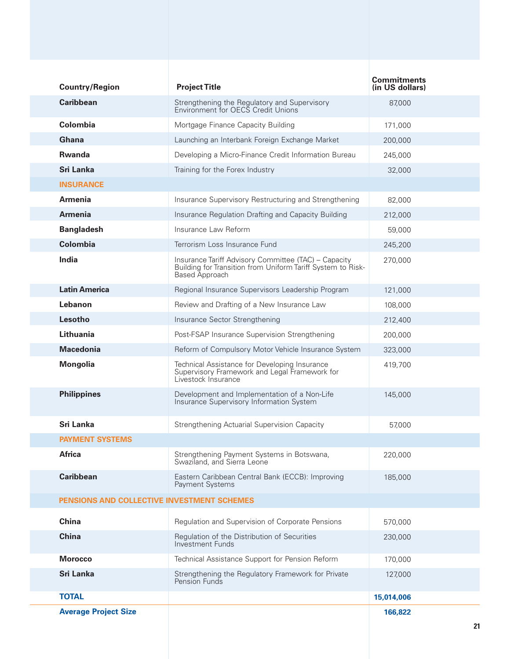| <b>Country/Region</b>       | <b>Project Title</b>                                                                                                                  | <b>Commitments</b><br>(in US dollars) |
|-----------------------------|---------------------------------------------------------------------------------------------------------------------------------------|---------------------------------------|
| <b>Caribbean</b>            | Strengthening the Regulatory and Supervisory<br>Environment for OECS Credit Unions                                                    | 87,000                                |
| Colombia                    | Mortgage Finance Capacity Building                                                                                                    | 171,000                               |
| <b>Ghana</b>                | Launching an Interbank Foreign Exchange Market                                                                                        | 200.000                               |
| <b>Rwanda</b>               | Developing a Micro-Finance Credit Information Bureau                                                                                  | 245,000                               |
| Sri Lanka                   | Training for the Forex Industry                                                                                                       | 32,000                                |
| <b>INSURANCE</b>            |                                                                                                                                       |                                       |
| <b>Armenia</b>              | Insurance Supervisory Restructuring and Strengthening                                                                                 | 82,000                                |
| <b>Armenia</b>              | Insurance Regulation Drafting and Capacity Building                                                                                   | 212,000                               |
| <b>Bangladesh</b>           | Insurance Law Reform                                                                                                                  | 59,000                                |
| Colombia                    | Terrorism Loss Insurance Fund                                                                                                         | 245,200                               |
| India                       | Insurance Tariff Advisory Committee (TAC) - Capacity<br>Building for Transition from Uniform Tariff System to Risk-<br>Based Approach | 270,000                               |
| <b>Latin America</b>        | Regional Insurance Supervisors Leadership Program                                                                                     | 121,000                               |
| Lebanon                     | Review and Drafting of a New Insurance Law                                                                                            | 108,000                               |
| Lesotho                     | Insurance Sector Strengthening                                                                                                        | 212,400                               |
| Lithuania                   | Post-FSAP Insurance Supervision Strengthening                                                                                         | 200,000                               |
| <b>Macedonia</b>            | Reform of Compulsory Motor Vehicle Insurance System                                                                                   | 323,000                               |
| <b>Mongolia</b>             | Technical Assistance for Developing Insurance<br>Supervisory Framework and Legal Framework for<br>Livestock Insurance                 | 419,700                               |
| <b>Philippines</b>          | Development and Implementation of a Non-Life<br>Insurance Supervisory Information System                                              | 145,000                               |
| Sri Lanka                   | Strengthening Actuarial Supervision Capacity                                                                                          | 57.000                                |
| <b>PAYMENT SYSTEMS</b>      |                                                                                                                                       |                                       |
| <b>Africa</b>               | Strengthening Payment Systems in Botswana,<br>Swaziland, and Sierra Leone                                                             | 220,000                               |
| <b>Caribbean</b>            | Eastern Caribbean Central Bank (ECCB): Improving<br>Payment Systems                                                                   | 185,000                               |
|                             | PENSIONS AND COLLECTIVE INVESTMENT SCHEMES                                                                                            |                                       |
| <b>China</b>                | Regulation and Supervision of Corporate Pensions                                                                                      | 570,000                               |
| <b>China</b>                | Regulation of the Distribution of Securities<br>Investment Funds                                                                      | 230,000                               |
| <b>Morocco</b>              | Technical Assistance Support for Pension Reform                                                                                       | 170,000                               |
| Sri Lanka                   | Strengthening the Regulatory Framework for Private<br>Pension Funds                                                                   | 127,000                               |
| <b>TOTAL</b>                |                                                                                                                                       | 15,014,006                            |
| <b>Average Project Size</b> |                                                                                                                                       | 166,822                               |
|                             |                                                                                                                                       |                                       |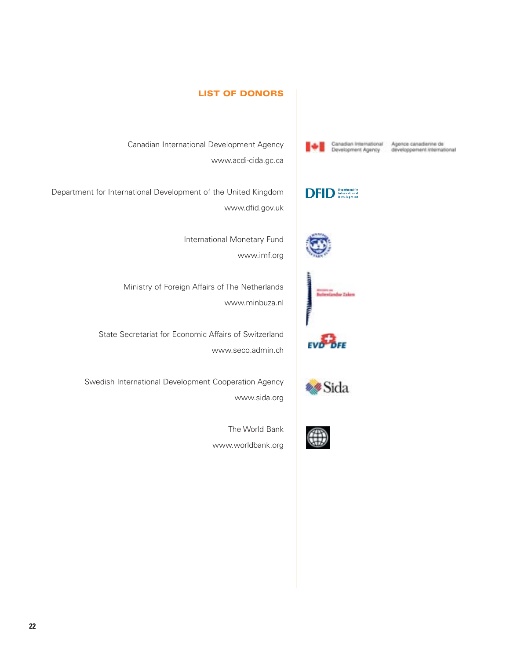

Canadian International Agence canadienne de<br>Development Agency développement international



Canadian International Development Agency www.acdi-cida.gc.ca

**DFID** Department for

Department for International Development of the United Kingdom www.dfid.gov.uk

> International Monetary Fund www.imf.org

**LIST OF DONORS**

Ministry of Foreign Affairs of The Netherlands www.minbuza.nl

State Secretariat for Economic Affairs of Switzerland www.seco.admin.ch

Swedish International Development Cooperation Agency www.sida.org



EVO<sup>POFE</sup>

**\*\*Sida** 

The World Bank

www.worldbank.org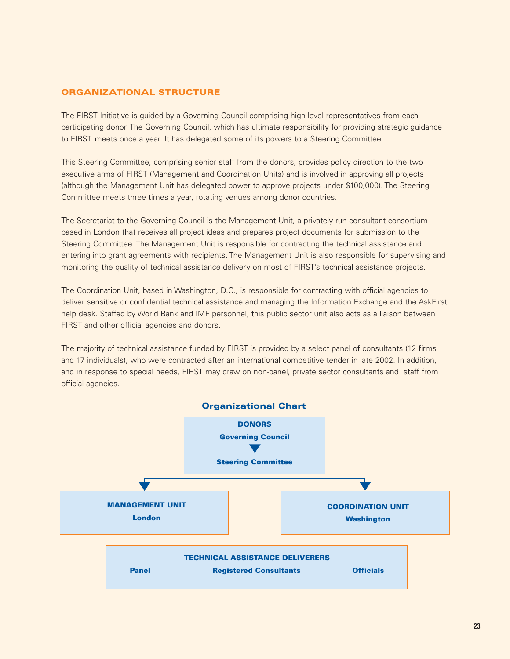# **ORGANIZATIONAL STRUCTURE**

The FIRST Initiative is guided by a Governing Council comprising high-level representatives from each participating donor. The Governing Council, which has ultimate responsibility for providing strategic guidance to FIRST, meets once a year. It has delegated some of its powers to a Steering Committee.

This Steering Committee, comprising senior staff from the donors, provides policy direction to the two executive arms of FIRST (Management and Coordination Units) and is involved in approving all projects (although the Management Unit has delegated power to approve projects under \$100,000). The Steering Committee meets three times a year, rotating venues among donor countries.

The Secretariat to the Governing Council is the Management Unit, a privately run consultant consortium based in London that receives all project ideas and prepares project documents for submission to the Steering Committee. The Management Unit is responsible for contracting the technical assistance and entering into grant agreements with recipients. The Management Unit is also responsible for supervising and monitoring the quality of technical assistance delivery on most of FIRST's technical assistance projects.

The Coordination Unit, based in Washington, D.C., is responsible for contracting with official agencies to deliver sensitive or confidential technical assistance and managing the Information Exchange and the AskFirst help desk. Staffed by World Bank and IMF personnel, this public sector unit also acts as a liaison between FIRST and other official agencies and donors.

The majority of technical assistance funded by FIRST is provided by a select panel of consultants (12 firms and 17 individuals), who were contracted after an international competitive tender in late 2002. In addition, and in response to special needs, FIRST may draw on non-panel, private sector consultants and staff from official agencies.

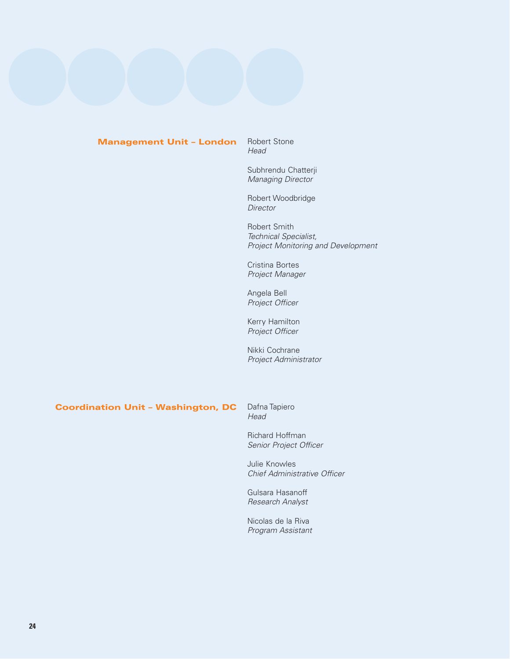# **Management Unit – London**

Robert Stone Head

Subhrendu Chatterji Managing Director

Robert Woodbridge **Director** 

Robert Smith Technical Specialist, Project Monitoring and Development

Cristina Bortes Project Manager

Angela Bell Project Officer

Kerry Hamilton Project Officer

Nikki Cochrane Project Administrator

#### Dafna Tapiero **Coordination Unit – Washington, DC**

Head Richard Hoffman

Senior Project Officer

Julie Knowles Chief Administrative Officer

Gulsara Hasanoff Research Analyst

Nicolas de la Riva Program Assistant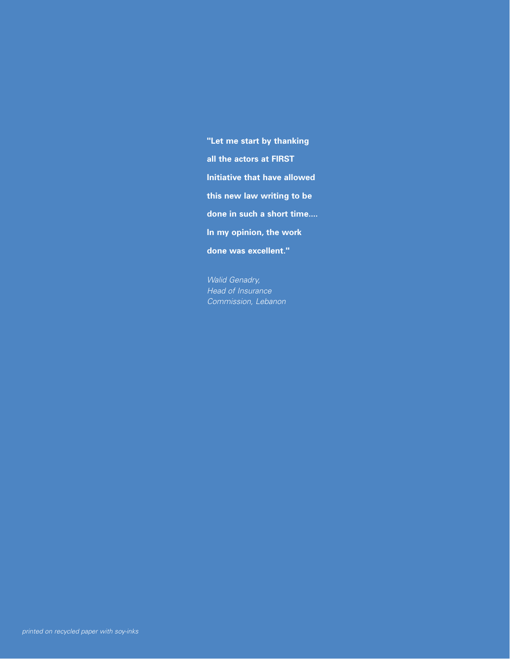**"Let me start by thanking all the actors at FIRST Initiative that have allowed this new law writing to be done in such a short time.... In my opinion, the work done was excellent."**

*Walid Genadry, Head of Insurance Commission, Lebanon*